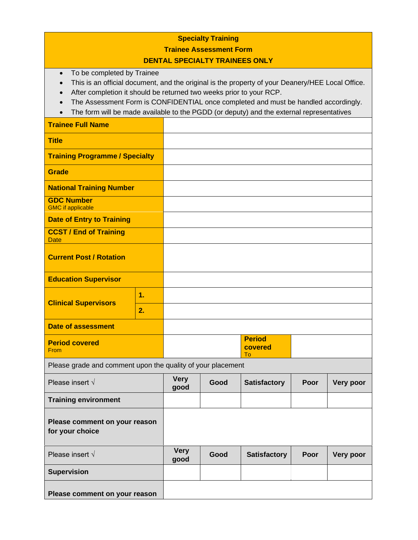| <b>Specialty Training</b>                                                                                                                                                                                                                                                                                                                                                                             |          |                     |      |                                |      |           |  |  |
|-------------------------------------------------------------------------------------------------------------------------------------------------------------------------------------------------------------------------------------------------------------------------------------------------------------------------------------------------------------------------------------------------------|----------|---------------------|------|--------------------------------|------|-----------|--|--|
| <b>Trainee Assessment Form</b>                                                                                                                                                                                                                                                                                                                                                                        |          |                     |      |                                |      |           |  |  |
| <b>DENTAL SPECIALTY TRAINEES ONLY</b>                                                                                                                                                                                                                                                                                                                                                                 |          |                     |      |                                |      |           |  |  |
| To be completed by Trainee<br>$\bullet$<br>This is an official document, and the original is the property of your Deanery/HEE Local Office.<br>After completion it should be returned two weeks prior to your RCP.<br>The Assessment Form is CONFIDENTIAL once completed and must be handled accordingly.<br>The form will be made available to the PGDD (or deputy) and the external representatives |          |                     |      |                                |      |           |  |  |
| <b>Trainee Full Name</b>                                                                                                                                                                                                                                                                                                                                                                              |          |                     |      |                                |      |           |  |  |
| <b>Title</b>                                                                                                                                                                                                                                                                                                                                                                                          |          |                     |      |                                |      |           |  |  |
| <b>Training Programme / Specialty</b>                                                                                                                                                                                                                                                                                                                                                                 |          |                     |      |                                |      |           |  |  |
| <b>Grade</b>                                                                                                                                                                                                                                                                                                                                                                                          |          |                     |      |                                |      |           |  |  |
| <b>National Training Number</b>                                                                                                                                                                                                                                                                                                                                                                       |          |                     |      |                                |      |           |  |  |
| <b>GDC Number</b><br><b>GMC</b> if applicable                                                                                                                                                                                                                                                                                                                                                         |          |                     |      |                                |      |           |  |  |
| <b>Date of Entry to Training</b>                                                                                                                                                                                                                                                                                                                                                                      |          |                     |      |                                |      |           |  |  |
| <b>CCST / End of Training</b><br><b>Date</b>                                                                                                                                                                                                                                                                                                                                                          |          |                     |      |                                |      |           |  |  |
| <b>Current Post / Rotation</b>                                                                                                                                                                                                                                                                                                                                                                        |          |                     |      |                                |      |           |  |  |
| <b>Education Supervisor</b>                                                                                                                                                                                                                                                                                                                                                                           |          |                     |      |                                |      |           |  |  |
| <b>Clinical Supervisors</b>                                                                                                                                                                                                                                                                                                                                                                           | 1.<br>2. |                     |      |                                |      |           |  |  |
| <b>Date of assessment</b>                                                                                                                                                                                                                                                                                                                                                                             |          |                     |      |                                |      |           |  |  |
| <b>Period covered</b><br>From                                                                                                                                                                                                                                                                                                                                                                         |          |                     |      | <b>Period</b><br>covered<br>To |      |           |  |  |
| Please grade and comment upon the quality of your placement                                                                                                                                                                                                                                                                                                                                           |          |                     |      |                                |      |           |  |  |
| Please insert $\sqrt{ }$                                                                                                                                                                                                                                                                                                                                                                              |          | <b>Very</b><br>good | Good | <b>Satisfactory</b>            | Poor | Very poor |  |  |
| <b>Training environment</b>                                                                                                                                                                                                                                                                                                                                                                           |          |                     |      |                                |      |           |  |  |
| Please comment on your reason<br>for your choice                                                                                                                                                                                                                                                                                                                                                      |          |                     |      |                                |      |           |  |  |
| Please insert $\sqrt{}$                                                                                                                                                                                                                                                                                                                                                                               |          | <b>Very</b><br>good | Good | <b>Satisfactory</b>            | Poor | Very poor |  |  |
| <b>Supervision</b>                                                                                                                                                                                                                                                                                                                                                                                    |          |                     |      |                                |      |           |  |  |
| Please comment on your reason                                                                                                                                                                                                                                                                                                                                                                         |          |                     |      |                                |      |           |  |  |